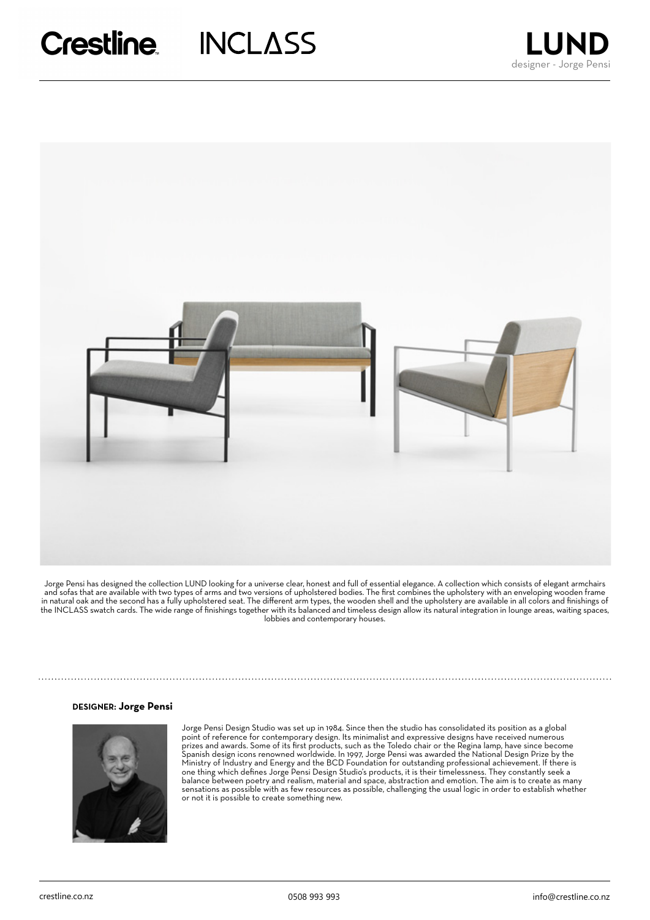



Jorge Pensi has designed the collection LUND looking for a universe clear, honest and full of essential elegance. A collection which consists of elegant armchairs and sofas that are available with two types of arms and two versions of upholstered bodies. The first combines the upholstery with an enveloping wooden frame in natural oak and the second has a fully upholstered seat. The different arm types, the wooden shell and the upholstery are available in all colors and finishings of the INCLASS swatch cards. The wide range of finishings together with its balanced and timeless design allow its natural integration in lounge areas, waiting spaces, lobbies and contemporary houses.

### **DESIGNER**: **Jorge Pensi**



Jorge Pensi Design Studio was set up in 1984. Since then the studio has consolidated its position as a global point of reference for contemporary design. Its minimalist and expressive designs have received numerous prizes and awards. Some of its first products, such as the Toledo chair or the Regina lamp, have since become Spanish design icons renowned worldwide. In 1997, Jorge Pensi was awarded the National Design Prize by the Ministry of Industry and Energy and the BCD Foundation for outstanding professional achievement. If there is one thing which defines Jorge Pensi Design Studio's products, it is their timelessness. They constantly seek a balance between poetry and realism, material and space, abstraction and emotion. The aim is to create as many sensations as possible with as few resources as possible, challenging the usual logic in order to establish whether or not it is possible to create something new.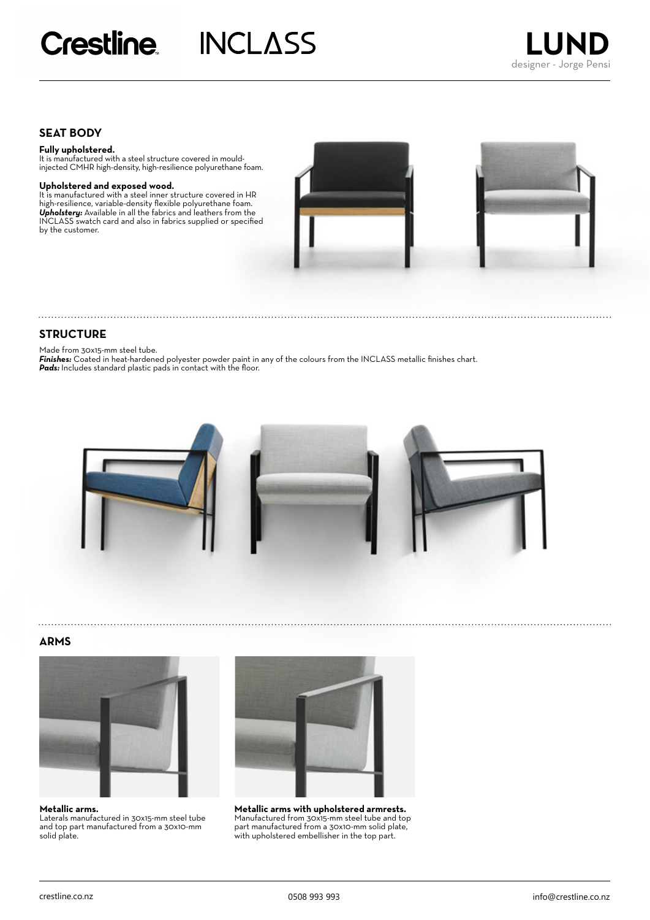# **SEAT BODY**

### **Fully upholstered.**

It is manufactured with a steel structure covered in mouldinjected CMHR high-density, high-resilience polyurethane foam.

**Upholstered and exposed wood.** It is manufactured with a steel inner structure covered in HR high-resilience, variable-density flexible polyurethane foam. *Upholstery:* Available in all the fabrics and leathers from the INCLASS swatch card and also in fabrics supplied or specified by the customer.





### **STRUCTURE**

Made from 30x15-mm steel tube.

*Finishes:* Coated in heat-hardened polyester powder paint in any of the colours from the INCLASS metallic finishes chart. Pads: Includes standard plastic pads in contact with the floor.



### **ARMS**



**Metallic arms.** Laterals manufactured in 30x15-mm steel tube and top part manufactured from a 30x10-mm solid plate.



**Metallic arms with upholstered armrests.** Manufactured from 30x15-mm steel tube and top part manufactured from a 30x10-mm solid plate, with upholstered embellisher in the top part.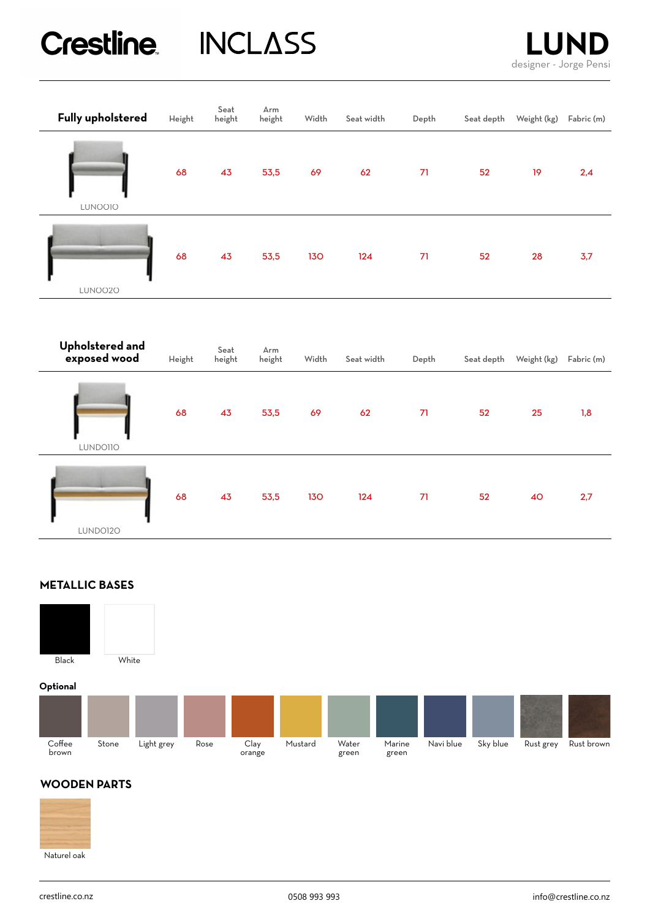# Crestline INCLASS



| Fully upholstered | Height | Seat<br>height | Arm<br>height | Width      | Seat width | Depth | Seat depth | Weight (kg) | Fabric (m) |
|-------------------|--------|----------------|---------------|------------|------------|-------|------------|-------------|------------|
| LUNOO10           | 68     | 43             | 53,5          | 69         | 62         | 71    | 52         | 19          | 2,4        |
| LUNO020           | 68     | 43             | 53,5          | <b>130</b> | 124        | 71    | 52         | 28          | 3,7        |

| Upholstered and<br>exposed wood | Height | Seat<br>height | Arm<br>height | Width | Seat width | Depth | Seat depth | Weight (kg) | Fabric (m) |
|---------------------------------|--------|----------------|---------------|-------|------------|-------|------------|-------------|------------|
| LUNDOIIO                        | 68     | 43             | 53,5          | 69    | 62         | 71    | 52         | 25          | 1,8        |
| LUNDO120                        | 68     | 43             | 53,5          | 130   | 124        | 71    | 52         | 40          | 2,7        |

# **METALLIC BASES**



**Optional**

| Optional        |       |            |      |                |         |                |                 |           |          |           |            |
|-----------------|-------|------------|------|----------------|---------|----------------|-----------------|-----------|----------|-----------|------------|
|                 |       |            |      |                |         |                |                 |           |          |           |            |
| Coffee<br>brown | Stone | Light grey | Rose | Clay<br>orange | Mustard | Water<br>green | Marine<br>green | Navi blue | Sky blue | Rust grey | Rust brown |

# **WOODEN PARTS**